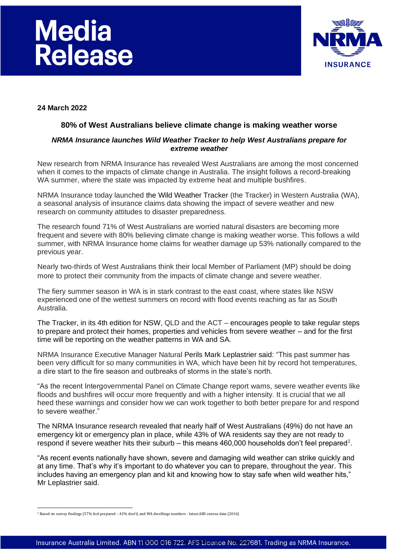# **Media** Release



**24 March 2022**

# **80% of West Australians believe climate change is making weather worse**

## *NRMA Insurance launches Wild Weather Tracker to help West Australians prepare for extreme weather*

New research from NRMA Insurance has revealed West Australians are among the most concerned when it comes to the impacts of climate change in Australia. The insight follows a record-breaking WA summer, where the state was impacted by extreme heat and multiple bushfires.

NRMA Insurance today launched the Wild Weather Tracker (the Tracker) in Western Australia (WA), a seasonal analysis of insurance claims data showing the impact of severe weather and new research on community attitudes to disaster preparedness.

The research found 71% of West Australians are worried natural disasters are becoming more frequent and severe with 80% believing climate change is making weather worse. This follows a wild summer, with NRMA Insurance home claims for weather damage up 53% nationally compared to the previous year.

Nearly two-thirds of West Australians think their local Member of Parliament (MP) should be doing more to protect their community from the impacts of climate change and severe weather.

The fiery summer season in WA is in stark contrast to the east coast, where states like NSW experienced one of the wettest summers on record with flood events reaching as far as South Australia.

The Tracker, in its 4th edition for NSW, QLD and the ACT – encourages people to take regular steps to prepare and protect their homes, properties and vehicles from severe weather – and for the first time will be reporting on the weather patterns in WA and SA.

NRMA Insurance Executive Manager Natural Perils Mark Leplastrier said: "This past summer has been very difficult for so many communities in WA, which have been hit by record hot temperatures, a dire start to the fire season and outbreaks of storms in the state's north.

"As the recent Intergovernmental Panel on Climate Change report warns, severe weather events like floods and bushfires will occur more frequently and with a higher intensity. It is crucial that we all heed these warnings and consider how we can work together to both better prepare for and respond to severe weather."

The NRMA Insurance research revealed that nearly half of West Australians (49%) do not have an emergency kit or emergency plan in place, while 43% of WA residents say they are not ready to respond if severe weather hits their suburb  $-$  this means 460,000 households don't feel prepared<sup>1</sup>.

"As recent events nationally have shown, severe and damaging wild weather can strike quickly and at any time. That's why it's important to do whatever you can to prepare, throughout the year. This includes having an emergency plan and kit and knowing how to stay safe when wild weather hits," Mr Leplastrier said.

<sup>1</sup> Based on survey findings (57% feel prepared – 43% don't) and WA dwellings numbers - latest ABS census data (2016)